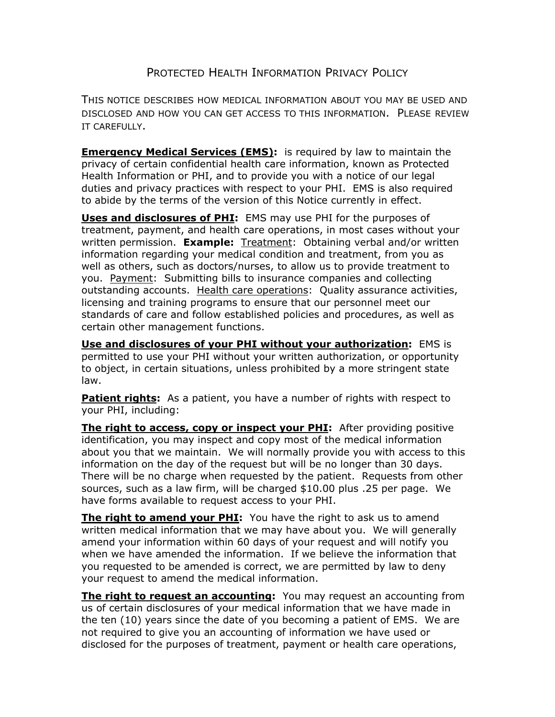## PROTECTED HEALTH INFORMATION PRIVACY POLICY

THIS NOTICE DESCRIBES HOW MEDICAL INFORMATION ABOUT YOU MAY BE USED AND DISCLOSED AND HOW YOU CAN GET ACCESS TO THIS INFORMATION. PLEASE REVIEW IT CAREFULLY.

**Emergency Medical Services (EMS):** is required by law to maintain the privacy of certain confidential health care information, known as Protected Health Information or PHI, and to provide you with a notice of our legal duties and privacy practices with respect to your PHI. EMS is also required to abide by the terms of the version of this Notice currently in effect.

**Uses and disclosures of PHI:** EMS may use PHI for the purposes of treatment, payment, and health care operations, in most cases without your written permission. **Example:** Treatment: Obtaining verbal and/or written information regarding your medical condition and treatment, from you as well as others, such as doctors/nurses, to allow us to provide treatment to you. Payment: Submitting bills to insurance companies and collecting outstanding accounts. Health care operations: Quality assurance activities, licensing and training programs to ensure that our personnel meet our standards of care and follow established policies and procedures, as well as certain other management functions.

**Use and disclosures of your PHI without your authorization:** EMS is permitted to use your PHI without your written authorization, or opportunity to object, in certain situations, unless prohibited by a more stringent state law.

**Patient rights:** As a patient, you have a number of rights with respect to your PHI, including:

**The right to access, copy or inspect your PHI:** After providing positive identification, you may inspect and copy most of the medical information about you that we maintain. We will normally provide you with access to this information on the day of the request but will be no longer than 30 days. There will be no charge when requested by the patient. Requests from other sources, such as a law firm, will be charged \$10.00 plus .25 per page. We have forms available to request access to your PHI.

**The right to amend your PHI:** You have the right to ask us to amend written medical information that we may have about you. We will generally amend your information within 60 days of your request and will notify you when we have amended the information. If we believe the information that you requested to be amended is correct, we are permitted by law to deny your request to amend the medical information.

**The right to request an accounting:** You may request an accounting from us of certain disclosures of your medical information that we have made in the ten (10) years since the date of you becoming a patient of EMS. We are not required to give you an accounting of information we have used or disclosed for the purposes of treatment, payment or health care operations,